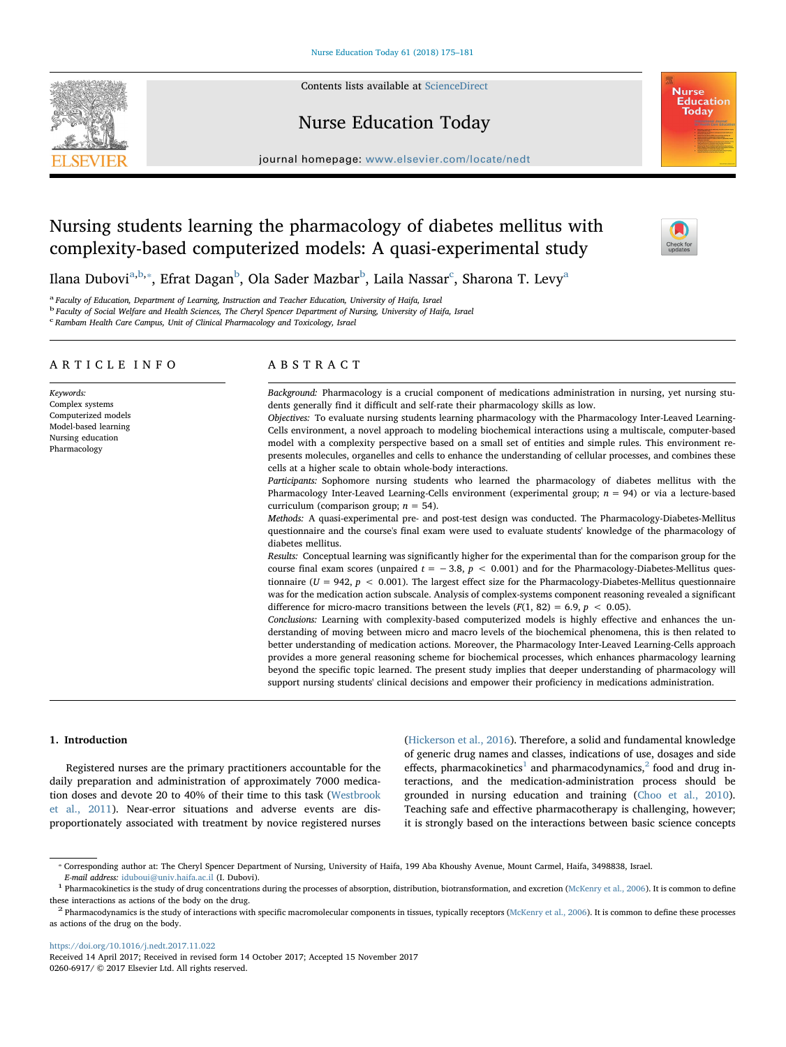Contents lists available at [ScienceDirect](http://www.sciencedirect.com/science/journal/02606917)

# Nurse Education Today

journal homepage: [www.elsevier.com/locate/nedt](https://www.elsevier.com/locate/nedt)

# Nursing students learning the pharmacology of diabetes mellitus with complexity-based computerized models: A quasi-experimental study

Il[a](#page-0-0)na Du[b](#page-0-1)ovi $^{\mathrm{a,b,*}},$  $^{\mathrm{a,b,*}},$  $^{\mathrm{a,b,*}},$  Efrat Dagan $^{\mathrm{b}},$  Ola Sader Mazbar $^{\mathrm{b}},$  Laila Nassar $^{\mathrm{c}},$  $^{\mathrm{c}},$  $^{\mathrm{c}},$  Sharona T. Levy $^{\mathrm{a}}$ 

<span id="page-0-0"></span><sup>a</sup> Faculty of Education, Department of Learning, Instruction and Teacher Education, University of Haifa, Israel

<span id="page-0-1"></span><sup>b</sup> Faculty of Social Welfare and Health Sciences, The Cheryl Spencer Department of Nursing, University of Haifa, Israel

<span id="page-0-3"></span>c<br>Rambam Health Care Campus, Unit of Clinical Pharmacology and Toxicology, Israel

# ARTICLE INFO

Keywords: Complex systems Computerized models Model-based learning Nursing education Pharmacology

# ABSTRACT

Background: Pharmacology is a crucial component of medications administration in nursing, yet nursing students generally find it difficult and self-rate their pharmacology skills as low.

Objectives: To evaluate nursing students learning pharmacology with the Pharmacology Inter-Leaved Learning-Cells environment, a novel approach to modeling biochemical interactions using a multiscale, computer-based model with a complexity perspective based on a small set of entities and simple rules. This environment represents molecules, organelles and cells to enhance the understanding of cellular processes, and combines these cells at a higher scale to obtain whole-body interactions.

Participants: Sophomore nursing students who learned the pharmacology of diabetes mellitus with the Pharmacology Inter-Leaved Learning-Cells environment (experimental group;  $n = 94$ ) or via a lecture-based curriculum (comparison group;  $n = 54$ ).

Methods: A quasi-experimental pre- and post-test design was conducted. The Pharmacology-Diabetes-Mellitus questionnaire and the course's final exam were used to evaluate students' knowledge of the pharmacology of diabetes mellitus.

Results: Conceptual learning was significantly higher for the experimental than for the comparison group for the course final exam scores (unpaired  $t = -3.8$ ,  $p < 0.001$ ) and for the Pharmacology-Diabetes-Mellitus questionnaire ( $U = 942$ ,  $p < 0.001$ ). The largest effect size for the Pharmacology-Diabetes-Mellitus questionnaire was for the medication action subscale. Analysis of complex-systems component reasoning revealed a significant difference for micro-macro transitions between the levels  $(F(1, 82) = 6.9, p < 0.05)$ .

Conclusions: Learning with complexity-based computerized models is highly effective and enhances the understanding of moving between micro and macro levels of the biochemical phenomena, this is then related to better understanding of medication actions. Moreover, the Pharmacology Inter-Leaved Learning-Cells approach provides a more general reasoning scheme for biochemical processes, which enhances pharmacology learning beyond the specific topic learned. The present study implies that deeper understanding of pharmacology will support nursing students' clinical decisions and empower their proficiency in medications administration.

#### 1. Introduction

Registered nurses are the primary practitioners accountable for the daily preparation and administration of approximately 7000 medication doses and devote 20 to 40% of their time to this task ([Westbrook](#page-6-0) [et al., 2011\)](#page-6-0). Near-error situations and adverse events are disproportionately associated with treatment by novice registered nurses ([Hickerson et al., 2016\)](#page-6-1). Therefore, a solid and fundamental knowledge of generic drug names and classes, indications of use, dosages and side effects, pharmacokinetics<sup>[1](#page-0-4)</sup> and pharmacodynamics,<sup>[2](#page-0-5)</sup> food and drug interactions, and the medication-administration process should be grounded in nursing education and training [\(Choo et al., 2010](#page-6-2)). Teaching safe and effective pharmacotherapy is challenging, however; it is strongly based on the interactions between basic science concepts

<https://doi.org/10.1016/j.nedt.2017.11.022>

Received 14 April 2017; Received in revised form 14 October 2017; Accepted 15 November 2017 0260-6917/ © 2017 Elsevier Ltd. All rights reserved.





Check for<br>[T](http://crossmark.crossref.org/dialog/?doi=10.1016/j.nedt.2017.11.022&domain=pdf)indates

<span id="page-0-2"></span><sup>⁎</sup> Corresponding author at: The Cheryl Spencer Department of Nursing, University of Haifa, 199 Aba Khoushy Avenue, Mount Carmel, Haifa, 3498838, Israel.

<span id="page-0-4"></span>E-mail address: [iduboui@univ.haifa.ac.il](mailto:iduboui@univ.haifa.ac.il) (I. Dubovi).<br><sup>1</sup> Pharmacokinetics is the study of drug concentrations during the processes of absorption, distribution, biotransformation, and excretion ([McKenry et al., 2006](#page-6-3)). It i

<span id="page-0-5"></span>these interactions as actions of the body on the drug.<br><sup>2</sup> Pharmacodynamics is the study of interactions with specific macromolecular components in tissues, typically receptors [\(McKenry et al., 2006\)](#page-6-3). It is common to defi as actions of the drug on the body.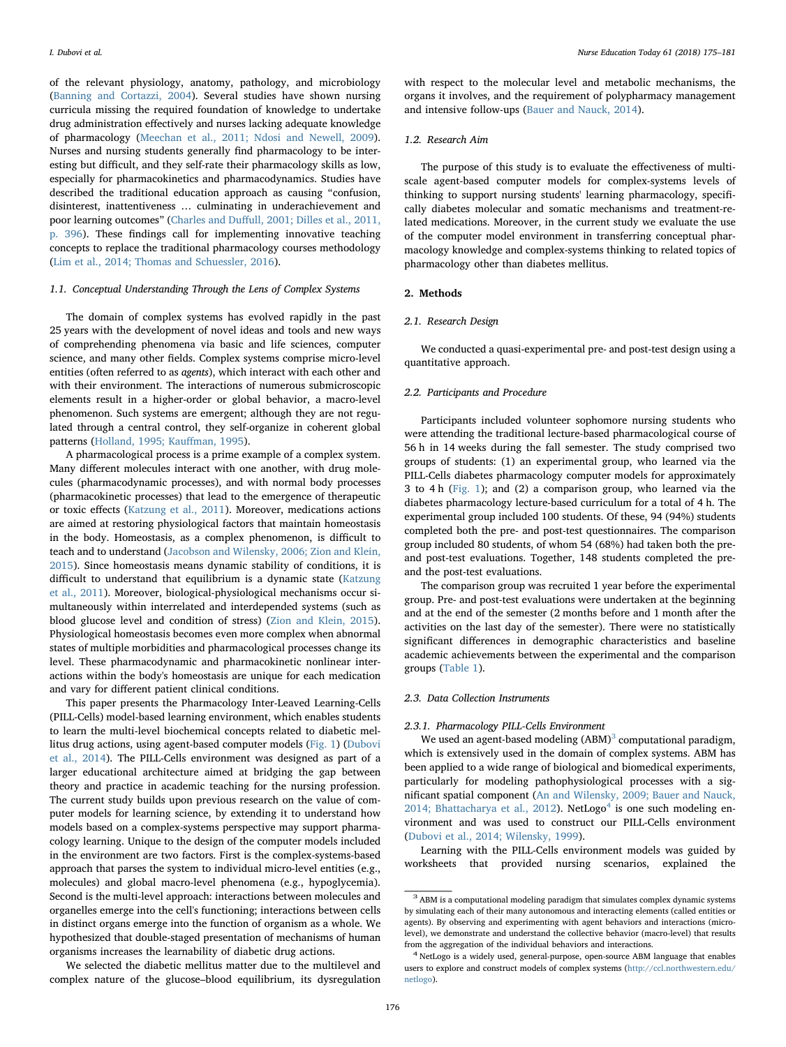of the relevant physiology, anatomy, pathology, and microbiology ([Banning and Cortazzi, 2004](#page-6-4)). Several studies have shown nursing curricula missing the required foundation of knowledge to undertake drug administration effectively and nurses lacking adequate knowledge of pharmacology [\(Meechan et al., 2011; Ndosi and Newell, 2009](#page-6-5)). Nurses and nursing students generally find pharmacology to be interesting but difficult, and they self-rate their pharmacology skills as low, especially for pharmacokinetics and pharmacodynamics. Studies have described the traditional education approach as causing "confusion, disinterest, inattentiveness … culminating in underachievement and poor learning outcomes" (Charles and Duff[ull, 2001; Dilles et al., 2011,](#page-6-6) [p. 396\)](#page-6-6). These findings call for implementing innovative teaching concepts to replace the traditional pharmacology courses methodology ([Lim et al., 2014; Thomas and Schuessler, 2016\)](#page-6-7).

# 1.1. Conceptual Understanding Through the Lens of Complex Systems

The domain of complex systems has evolved rapidly in the past 25 years with the development of novel ideas and tools and new ways of comprehending phenomena via basic and life sciences, computer science, and many other fields. Complex systems comprise micro-level entities (often referred to as agents), which interact with each other and with their environment. The interactions of numerous submicroscopic elements result in a higher-order or global behavior, a macro-level phenomenon. Such systems are emergent; although they are not regulated through a central control, they self-organize in coherent global patterns ([Holland, 1995; Kau](#page-6-8)ffman, 1995).

A pharmacological process is a prime example of a complex system. Many different molecules interact with one another, with drug molecules (pharmacodynamic processes), and with normal body processes (pharmacokinetic processes) that lead to the emergence of therapeutic or toxic effects [\(Katzung et al., 2011\)](#page-6-9). Moreover, medications actions are aimed at restoring physiological factors that maintain homeostasis in the body. Homeostasis, as a complex phenomenon, is difficult to teach and to understand [\(Jacobson and Wilensky, 2006; Zion and Klein,](#page-6-10) [2015\)](#page-6-10). Since homeostasis means dynamic stability of conditions, it is difficult to understand that equilibrium is a dynamic state ([Katzung](#page-6-9) [et al., 2011\)](#page-6-9). Moreover, biological-physiological mechanisms occur simultaneously within interrelated and interdepended systems (such as blood glucose level and condition of stress) ([Zion and Klein, 2015](#page-6-11)). Physiological homeostasis becomes even more complex when abnormal states of multiple morbidities and pharmacological processes change its level. These pharmacodynamic and pharmacokinetic nonlinear interactions within the body's homeostasis are unique for each medication and vary for different patient clinical conditions.

This paper presents the Pharmacology Inter-Leaved Learning-Cells (PILL-Cells) model-based learning environment, which enables students to learn the multi-level biochemical concepts related to diabetic mellitus drug actions, using agent-based computer models ([Fig. 1\)](#page-2-0) [\(Dubovi](#page-6-12) [et al., 2014](#page-6-12)). The PILL-Cells environment was designed as part of a larger educational architecture aimed at bridging the gap between theory and practice in academic teaching for the nursing profession. The current study builds upon previous research on the value of computer models for learning science, by extending it to understand how models based on a complex-systems perspective may support pharmacology learning. Unique to the design of the computer models included in the environment are two factors. First is the complex-systems-based approach that parses the system to individual micro-level entities (e.g., molecules) and global macro-level phenomena (e.g., hypoglycemia). Second is the multi-level approach: interactions between molecules and organelles emerge into the cell's functioning; interactions between cells in distinct organs emerge into the function of organism as a whole. We hypothesized that double-staged presentation of mechanisms of human organisms increases the learnability of diabetic drug actions.

We selected the diabetic mellitus matter due to the multilevel and complex nature of the glucose–blood equilibrium, its dysregulation

with respect to the molecular level and metabolic mechanisms, the organs it involves, and the requirement of polypharmacy management and intensive follow-ups [\(Bauer and Nauck, 2014](#page-6-13)).

#### 1.2. Research Aim

The purpose of this study is to evaluate the effectiveness of multiscale agent-based computer models for complex-systems levels of thinking to support nursing students' learning pharmacology, specifically diabetes molecular and somatic mechanisms and treatment-related medications. Moreover, in the current study we evaluate the use of the computer model environment in transferring conceptual pharmacology knowledge and complex-systems thinking to related topics of pharmacology other than diabetes mellitus.

## 2. Methods

## 2.1. Research Design

We conducted a quasi-experimental pre- and post-test design using a quantitative approach.

### 2.2. Participants and Procedure

Participants included volunteer sophomore nursing students who were attending the traditional lecture-based pharmacological course of 56 h in 14 weeks during the fall semester. The study comprised two groups of students: (1) an experimental group, who learned via the PILL-Cells diabetes pharmacology computer models for approximately 3 to 4 h [\(Fig. 1\)](#page-2-0); and (2) a comparison group, who learned via the diabetes pharmacology lecture-based curriculum for a total of 4 h. The experimental group included 100 students. Of these, 94 (94%) students completed both the pre- and post-test questionnaires. The comparison group included 80 students, of whom 54 (68%) had taken both the preand post-test evaluations. Together, 148 students completed the preand the post-test evaluations.

The comparison group was recruited 1 year before the experimental group. Pre- and post-test evaluations were undertaken at the beginning and at the end of the semester (2 months before and 1 month after the activities on the last day of the semester). There were no statistically significant differences in demographic characteristics and baseline academic achievements between the experimental and the comparison groups [\(Table 1\)](#page-2-1).

#### 2.3. Data Collection Instruments

#### 2.3.1. Pharmacology PILL-Cells Environment

We used an agent-based modeling  $(ABM)^3$  $(ABM)^3$  computational paradigm, which is extensively used in the domain of complex systems. ABM has been applied to a wide range of biological and biomedical experiments, particularly for modeling pathophysiological processes with a significant spatial component ([An and Wilensky, 2009; Bauer and Nauck,](#page-6-14) [2014; Bhattacharya et al., 2012\)](#page-6-14). NetLogo<sup>[4](#page-1-1)</sup> is one such modeling environment and was used to construct our PILL-Cells environment ([Dubovi et al., 2014; Wilensky, 1999](#page-6-12)).

Learning with the PILL-Cells environment models was guided by worksheets that provided nursing scenarios, explained the

<span id="page-1-0"></span> $^3$  ABM is a computational modeling paradigm that simulates complex dynamic systems by simulating each of their many autonomous and interacting elements (called entities or agents). By observing and experimenting with agent behaviors and interactions (microlevel), we demonstrate and understand the collective behavior (macro-level) that results from the aggregation of the individual behaviors and interactions. <sup>4</sup> NetLogo is a widely used, general-purpose, open-source ABM language that enables

<span id="page-1-1"></span>users to explore and construct models of complex systems ([http://ccl.northwestern.edu/](http://ccl.northwestern.edu/netlogo) [netlogo\)](http://ccl.northwestern.edu/netlogo).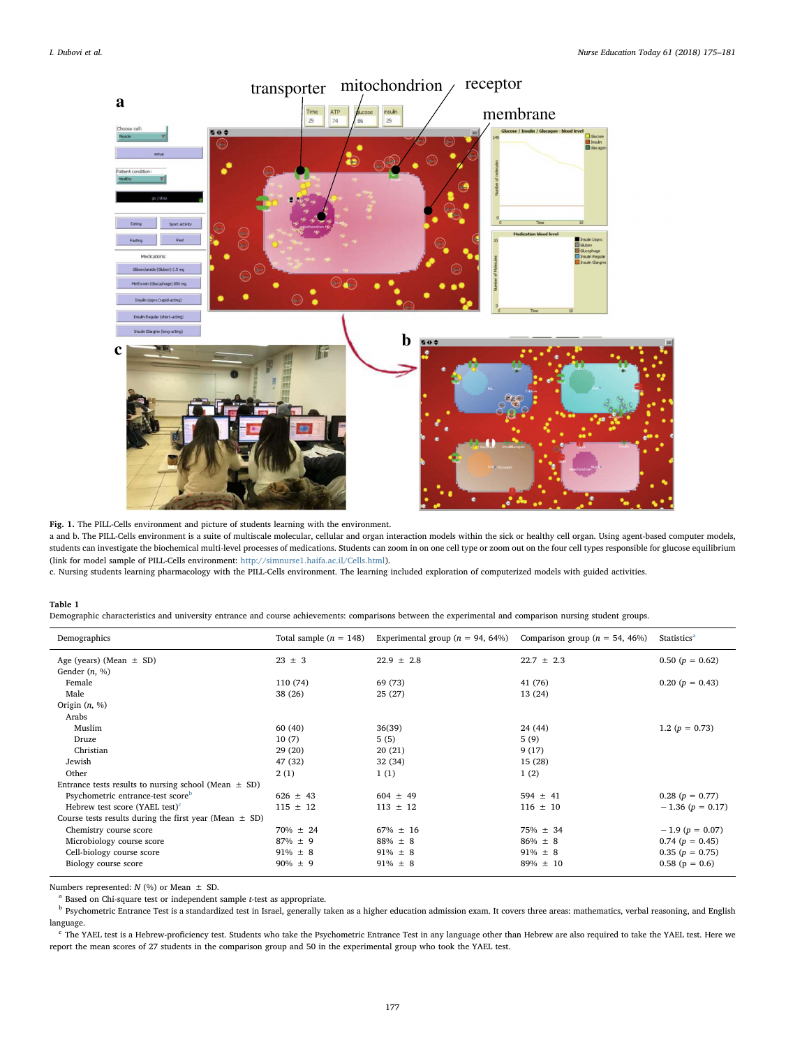<span id="page-2-0"></span>

Fig. 1. The PILL-Cells environment and picture of students learning with the environment.

a and b. The PILL-Cells environment is a suite of multiscale molecular, cellular and organ interaction models within the sick or healthy cell organ. Using agent-based computer models, students can investigate the biochemical multi-level processes of medications. Students can zoom in on one cell type or zoom out on the four cell types responsible for glucose equilibrium (link for model sample of PILL-Cells environment: [http://simnurse1.haifa.ac.il/Cells.html\)](http://simnurse1.haifa.ac.il/Cells.html).

c. Nursing students learning pharmacology with the PILL-Cells environment. The learning included exploration of computerized models with guided activities.

#### <span id="page-2-1"></span>Table 1

Demographic characteristics and university entrance and course achievements: comparisons between the experimental and comparison nursing student groups.

| Demographics                                               | Total sample $(n = 148)$ | Experimental group ( $n = 94, 64\%$ ) | Comparison group ( $n = 54, 46\%$ ) | <b>Statistics</b> <sup>a</sup> |
|------------------------------------------------------------|--------------------------|---------------------------------------|-------------------------------------|--------------------------------|
| Age (years) (Mean $\pm$ SD)                                | $23 \pm 3$               | $22.9 \pm 2.8$                        | $22.7 \pm 2.3$                      | $0.50(p = 0.62)$               |
| Gender $(n, %)$                                            |                          |                                       |                                     |                                |
| Female                                                     | 110(74)                  | 69 (73)                               | 41 (76)                             | $0.20(p = 0.43)$               |
| Male                                                       | 38 (26)                  | 25(27)                                | 13 (24)                             |                                |
| Origin $(n, %)$                                            |                          |                                       |                                     |                                |
| Arabs                                                      |                          |                                       |                                     |                                |
| Muslim                                                     | 60(40)                   | 36(39)                                | 24 (44)                             | 1.2 $(p = 0.73)$               |
| Druze                                                      | 10(7)                    | 5(5)                                  | 5(9)                                |                                |
| Christian                                                  | 29(20)                   | 20(21)                                | 9(17)                               |                                |
| Jewish                                                     | 47 (32)                  | 32(34)                                | 15(28)                              |                                |
| Other                                                      | 2(1)                     | 1(1)                                  | 1(2)                                |                                |
| Entrance tests results to nursing school (Mean $\pm$ SD)   |                          |                                       |                                     |                                |
| Psychometric entrance-test score <sup>b</sup>              | $626 \pm 43$             | $604 \pm 49$                          | $594 \pm 41$                        | $0.28(p = 0.77)$               |
| Hebrew test score (YAEL test) <sup>c</sup>                 | $115 \pm 12$             | $113 \pm 12$                          | $116 \pm 10$                        | $-1.36$ ( $p = 0.17$ )         |
| Course tests results during the first year (Mean $\pm$ SD) |                          |                                       |                                     |                                |
| Chemistry course score                                     | $70\% \pm 24$            | $67\% \pm 16$                         | $75\% \pm 34$                       | $-1.9$ ( $p = 0.07$ )          |
| Microbiology course score                                  | $87\% \pm 9$             | $88\% \pm 8$                          | $86\% \pm 8$                        | $0.74$ ( $p = 0.45$ )          |
| Cell-biology course score                                  | $91\% \pm 8$             | $91\% \pm 8$                          | $91\% \pm 8$                        | $0.35 (p = 0.75)$              |
| Biology course score                                       | $90\% \pm 9$             | $91\% \pm 8$                          | $89\% \pm 10$                       | $0.58$ (p = 0.6)               |

Numbers represented:  $N$  (%) or Mean  $\pm$  SD.

<span id="page-2-2"></span> $a$  Based on Chi-square test or independent sample  $t$ -test as appropriate.

<span id="page-2-3"></span><sup>b</sup> Psychometric Entrance Test is a standardized test in Israel, generally taken as a higher education admission exam. It covers three areas: mathematics, verbal reasoning, and English language.

<span id="page-2-4"></span><sup>c</sup> The YAEL test is a Hebrew-proficiency test. Students who take the Psychometric Entrance Test in any language other than Hebrew are also required to take the YAEL test. Here we report the mean scores of 27 students in the comparison group and 50 in the experimental group who took the YAEL test.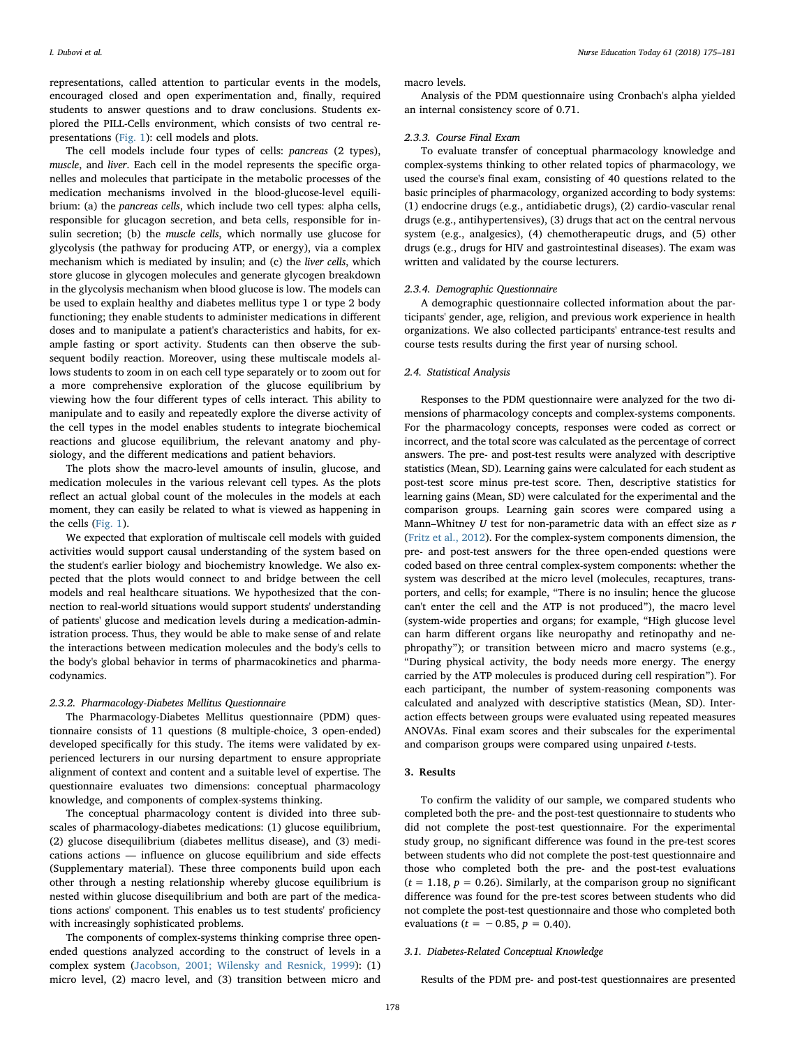representations, called attention to particular events in the models, encouraged closed and open experimentation and, finally, required students to answer questions and to draw conclusions. Students explored the PILL-Cells environment, which consists of two central representations [\(Fig. 1\)](#page-2-0): cell models and plots.

The cell models include four types of cells: pancreas (2 types), muscle, and liver. Each cell in the model represents the specific organelles and molecules that participate in the metabolic processes of the medication mechanisms involved in the blood-glucose-level equilibrium: (a) the pancreas cells, which include two cell types: alpha cells, responsible for glucagon secretion, and beta cells, responsible for insulin secretion; (b) the *muscle cells*, which normally use glucose for glycolysis (the pathway for producing ATP, or energy), via a complex mechanism which is mediated by insulin; and (c) the liver cells, which store glucose in glycogen molecules and generate glycogen breakdown in the glycolysis mechanism when blood glucose is low. The models can be used to explain healthy and diabetes mellitus type 1 or type 2 body functioning; they enable students to administer medications in different doses and to manipulate a patient's characteristics and habits, for example fasting or sport activity. Students can then observe the subsequent bodily reaction. Moreover, using these multiscale models allows students to zoom in on each cell type separately or to zoom out for a more comprehensive exploration of the glucose equilibrium by viewing how the four different types of cells interact. This ability to manipulate and to easily and repeatedly explore the diverse activity of the cell types in the model enables students to integrate biochemical reactions and glucose equilibrium, the relevant anatomy and physiology, and the different medications and patient behaviors.

The plots show the macro-level amounts of insulin, glucose, and medication molecules in the various relevant cell types. As the plots reflect an actual global count of the molecules in the models at each moment, they can easily be related to what is viewed as happening in the cells ([Fig. 1\)](#page-2-0).

We expected that exploration of multiscale cell models with guided activities would support causal understanding of the system based on the student's earlier biology and biochemistry knowledge. We also expected that the plots would connect to and bridge between the cell models and real healthcare situations. We hypothesized that the connection to real-world situations would support students' understanding of patients' glucose and medication levels during a medication-administration process. Thus, they would be able to make sense of and relate the interactions between medication molecules and the body's cells to the body's global behavior in terms of pharmacokinetics and pharmacodynamics.

#### 2.3.2. Pharmacology-Diabetes Mellitus Questionnaire

The Pharmacology-Diabetes Mellitus questionnaire (PDM) questionnaire consists of 11 questions (8 multiple-choice, 3 open-ended) developed specifically for this study. The items were validated by experienced lecturers in our nursing department to ensure appropriate alignment of context and content and a suitable level of expertise. The questionnaire evaluates two dimensions: conceptual pharmacology knowledge, and components of complex-systems thinking.

The conceptual pharmacology content is divided into three subscales of pharmacology-diabetes medications: (1) glucose equilibrium, (2) glucose disequilibrium (diabetes mellitus disease), and (3) medications actions — influence on glucose equilibrium and side effects (Supplementary material). These three components build upon each other through a nesting relationship whereby glucose equilibrium is nested within glucose disequilibrium and both are part of the medications actions' component. This enables us to test students' proficiency with increasingly sophisticated problems.

The components of complex-systems thinking comprise three openended questions analyzed according to the construct of levels in a complex system ([Jacobson, 2001; Wilensky and Resnick, 1999](#page-6-15)): (1) micro level, (2) macro level, and (3) transition between micro and macro levels.

Analysis of the PDM questionnaire using Cronbach's alpha yielded an internal consistency score of 0.71.

# 2.3.3. Course Final Exam

To evaluate transfer of conceptual pharmacology knowledge and complex-systems thinking to other related topics of pharmacology, we used the course's final exam, consisting of 40 questions related to the basic principles of pharmacology, organized according to body systems: (1) endocrine drugs (e.g., antidiabetic drugs), (2) cardio-vascular renal drugs (e.g., antihypertensives), (3) drugs that act on the central nervous system (e.g., analgesics), (4) chemotherapeutic drugs, and (5) other drugs (e.g., drugs for HIV and gastrointestinal diseases). The exam was written and validated by the course lecturers.

#### 2.3.4. Demographic Questionnaire

A demographic questionnaire collected information about the participants' gender, age, religion, and previous work experience in health organizations. We also collected participants' entrance-test results and course tests results during the first year of nursing school.

#### 2.4. Statistical Analysis

Responses to the PDM questionnaire were analyzed for the two dimensions of pharmacology concepts and complex-systems components. For the pharmacology concepts, responses were coded as correct or incorrect, and the total score was calculated as the percentage of correct answers. The pre- and post-test results were analyzed with descriptive statistics (Mean, SD). Learning gains were calculated for each student as post-test score minus pre-test score. Then, descriptive statistics for learning gains (Mean, SD) were calculated for the experimental and the comparison groups. Learning gain scores were compared using a Mann–Whitney  $U$  test for non-parametric data with an effect size as  $r$ ([Fritz et al., 2012\)](#page-6-16). For the complex-system components dimension, the pre- and post-test answers for the three open-ended questions were coded based on three central complex-system components: whether the system was described at the micro level (molecules, recaptures, transporters, and cells; for example, "There is no insulin; hence the glucose can't enter the cell and the ATP is not produced"), the macro level (system-wide properties and organs; for example, "High glucose level can harm different organs like neuropathy and retinopathy and nephropathy"); or transition between micro and macro systems (e.g., "During physical activity, the body needs more energy. The energy carried by the ATP molecules is produced during cell respiration"). For each participant, the number of system-reasoning components was calculated and analyzed with descriptive statistics (Mean, SD). Interaction effects between groups were evaluated using repeated measures ANOVAs. Final exam scores and their subscales for the experimental and comparison groups were compared using unpaired t-tests.

#### 3. Results

To confirm the validity of our sample, we compared students who completed both the pre- and the post-test questionnaire to students who did not complete the post-test questionnaire. For the experimental study group, no significant difference was found in the pre-test scores between students who did not complete the post-test questionnaire and those who completed both the pre- and the post-test evaluations  $(t = 1.18, p = 0.26)$ . Similarly, at the comparison group no significant difference was found for the pre-test scores between students who did not complete the post-test questionnaire and those who completed both evaluations ( $t = -0.85$ ,  $p = 0.40$ ).

#### 3.1. Diabetes-Related Conceptual Knowledge

Results of the PDM pre- and post-test questionnaires are presented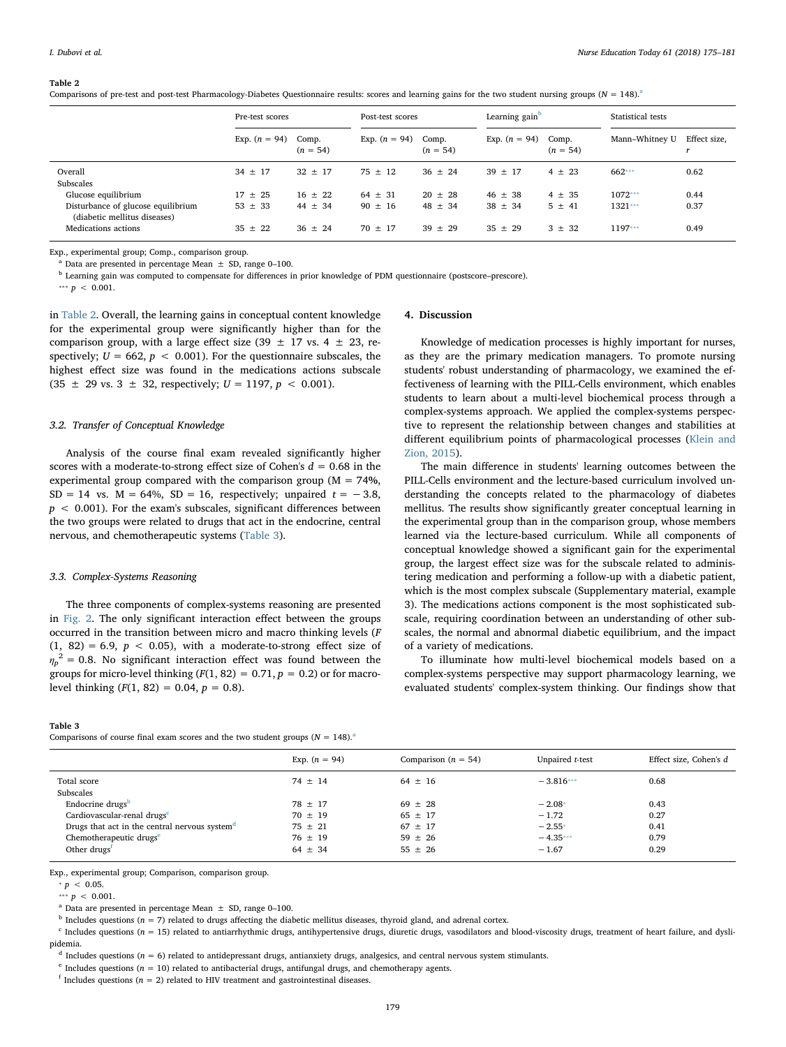#### <span id="page-4-0"></span>Table 2

Comp[a](#page-4-2)risons of pre-test and post-test Pharmacology-Diabetes Questionnaire results: scores and learning gains for the two student nursing groups  $(N = 148)$ .<sup>a</sup>

|                                                                    | Pre-test scores |                     | Post-test scores |                     | Learning gain <sup>b</sup> |                     | Statistical tests |              |
|--------------------------------------------------------------------|-----------------|---------------------|------------------|---------------------|----------------------------|---------------------|-------------------|--------------|
|                                                                    | Exp. $(n = 94)$ | Comp.<br>$(n = 54)$ | Exp. $(n = 94)$  | Comp.<br>$(n = 54)$ | Exp. $(n = 94)$            | Comp.<br>$(n = 54)$ | Mann-Whitney U    | Effect size, |
| Overall<br>Subscales                                               | $34 \pm 17$     | $32 + 17$           | $75 + 12$        | $36 + 24$           | $39 + 17$                  | $4 \pm 23$          | 662***            | 0.62         |
| Glucose equilibrium                                                | $17 \pm 25$     | $16 \pm 22$         | $64 \pm 31$      | $20 + 28$           | $46 + 38$                  | $4 \pm 35$          | 1072***           | 0.44         |
| Disturbance of glucose equilibrium<br>(diabetic mellitus diseases) | $53 \pm 33$     | $44 \pm 34$         | $90 \pm 16$      | $48 \pm 34$         | $38 \pm 34$                | $5 + 41$            | $1321***$         | 0.37         |
| Medications actions                                                | $35 \pm 22$     | $36 + 24$           | $70 + 17$        | $39 + 29$           | $35 + 29$                  | $3 + 32$            | $1197***$         | 0.49         |

Exp., experimental group; Comp., comparison group.

<span id="page-4-2"></span>Data are presented in percentage Mean  $\pm$  SD, range 0–100.

<span id="page-4-3"></span><sup>b</sup> Learning gain was computed to compensate for differences in prior knowledge of PDM questionnaire (postscore–prescore).

<span id="page-4-4"></span>\*\*\*  $p < 0.001$ .

in [Table 2.](#page-4-0) Overall, the learning gains in conceptual content knowledge for the experimental group were significantly higher than for the comparison group, with a large effect size (39  $\pm$  17 vs. 4  $\pm$  23, respectively;  $U = 662$ ,  $p < 0.001$ ). For the questionnaire subscales, the highest effect size was found in the medications actions subscale  $(35 \pm 29 \text{ vs. } 3 \pm 32, \text{ respectively}; U = 1197, p < 0.001).$ 

## 3.2. Transfer of Conceptual Knowledge

Analysis of the course final exam revealed significantly higher scores with a moderate-to-strong effect size of Cohen's  $d = 0.68$  in the experimental group compared with the comparison group ( $M = 74\%$ , SD = 14 vs. M = 64%, SD = 16, respectively; unpaired  $t = -3.8$ ,  $p < 0.001$ ). For the exam's subscales, significant differences between the two groups were related to drugs that act in the endocrine, central nervous, and chemotherapeutic systems ([Table 3\)](#page-4-1).

## 3.3. Complex-Systems Reasoning

The three components of complex-systems reasoning are presented in [Fig. 2](#page-5-0). The only significant interaction effect between the groups occurred in the transition between micro and macro thinking levels (F  $(1, 82) = 6.9$ ,  $p < 0.05$ ), with a moderate-to-strong effect size of  $\eta_p^2$  = 0.8. No significant interaction effect was found between the groups for micro-level thinking  $(F(1, 82) = 0.71, p = 0.2)$  or for macrolevel thinking  $(F(1, 82) = 0.04, p = 0.8)$ .

## 4. Discussion

Knowledge of medication processes is highly important for nurses, as they are the primary medication managers. To promote nursing students' robust understanding of pharmacology, we examined the effectiveness of learning with the PILL-Cells environment, which enables students to learn about a multi-level biochemical process through a complex-systems approach. We applied the complex-systems perspective to represent the relationship between changes and stabilities at different equilibrium points of pharmacological processes ([Klein and](#page-6-17) [Zion, 2015](#page-6-17)).

The main difference in students' learning outcomes between the PILL-Cells environment and the lecture-based curriculum involved understanding the concepts related to the pharmacology of diabetes mellitus. The results show significantly greater conceptual learning in the experimental group than in the comparison group, whose members learned via the lecture-based curriculum. While all components of conceptual knowledge showed a significant gain for the experimental group, the largest effect size was for the subscale related to administering medication and performing a follow-up with a diabetic patient, which is the most complex subscale (Supplementary material, example 3). The medications actions component is the most sophisticated subscale, requiring coordination between an understanding of other subscales, the normal and abnormal diabetic equilibrium, and the impact of a variety of medications.

To illuminate how multi-level biochemical models based on a complex-systems perspective may support pharmacology learning, we evaluated students' complex-system thinking. Our findings show that

#### <span id="page-4-1"></span>Table 3

Comp[a](#page-4-5)risons of course final exam scores and the two student groups  $(N = 148)$ .

|                                                           | Exp. $(n = 94)$ | Comparison ( $n = 54$ ) | Unpaired t-test | Effect size, Cohen's d |
|-----------------------------------------------------------|-----------------|-------------------------|-----------------|------------------------|
| Total score                                               | $74 \pm 14$     | $64 \pm 16$             | $-3.816***$     | 0.68                   |
| Subscales                                                 |                 |                         |                 |                        |
| Endocrine drugs <sup>b</sup>                              | $78 \pm 17$     | $69 \pm 28$             | $-2.08*$        | 0.43                   |
| Cardiovascular-renal drugs <sup>c</sup>                   | $70 \pm 19$     | $65 \pm 17$             | $-1.72$         | 0.27                   |
| Drugs that act in the central nervous system <sup>d</sup> | $75 \pm 21$     | $67 \pm 17$             | $-2.55*$        | 0.41                   |
| Chemotherapeutic drugs <sup>e</sup>                       | $76 \pm 19$     | $59 \pm 26$             | $-4.35***$      | 0.79                   |
| Other drugs <sup>f</sup>                                  | $64 \pm 34$     | $55 \pm 26$             | $-1.67$         | 0.29                   |
|                                                           |                 |                         |                 |                        |

Exp., experimental group; Comparison, comparison group.

<span id="page-4-8"></span> $p < 0.05$ .

<span id="page-4-5"></span> $a$  Data are presented in percentage Mean  $\pm$  SD, range 0–100.

<span id="page-4-7"></span> $\frac{b}{c}$  Includes questions ( $n = 7$ ) related to drugs affecting the diabetic mellitus diseases, thyroid gland, and adrenal cortex.

<span id="page-4-9"></span> $c$  Includes questions ( $n = 15$ ) related to antiarrhythmic drugs, antihypertensive drugs, diuretic drugs, vasodilators and blood-viscosity drugs, treatment of heart failure, and dyslipidemia.

<span id="page-4-10"></span> $<sup>d</sup>$  Includes questions ( $n = 6$ ) related to antidepressant drugs, antianxiety drugs, analgesics, and central nervous system stimulants.</sup>

<span id="page-4-11"></span> $e$  Includes questions ( $n = 10$ ) related to antibacterial drugs, antifungal drugs, and chemotherapy agents.

<span id="page-4-12"></span>f Includes questions ( $n = 2$ ) related to HIV treatment and gastrointestinal diseases.

<span id="page-4-6"></span><sup>\*\*\*</sup>  $p \, < \, 0.001$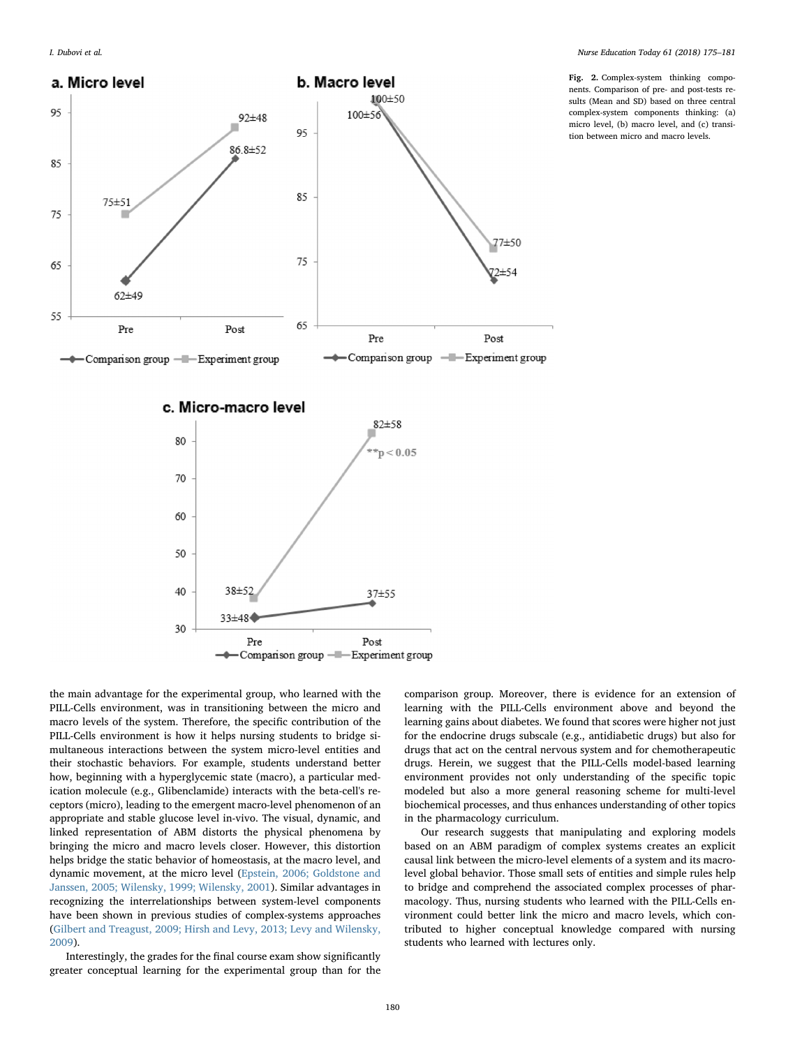<span id="page-5-0"></span>

Fig. 2. Complex-system thinking components. Comparison of pre- and post-tests results (Mean and SD) based on three central complex-system components thinking: (a) micro level, (b) macro level, and (c) transition between micro and macro levels.

50 40  $38+$ 37±55  $33 + 48$ 30 Pre Post Companson group ---Experiment group

the main advantage for the experimental group, who learned with the PILL-Cells environment, was in transitioning between the micro and macro levels of the system. Therefore, the specific contribution of the PILL-Cells environment is how it helps nursing students to bridge simultaneous interactions between the system micro-level entities and their stochastic behaviors. For example, students understand better how, beginning with a hyperglycemic state (macro), a particular medication molecule (e.g., Glibenclamide) interacts with the beta-cell's receptors (micro), leading to the emergent macro-level phenomenon of an appropriate and stable glucose level in-vivo. The visual, dynamic, and linked representation of ABM distorts the physical phenomena by bringing the micro and macro levels closer. However, this distortion helps bridge the static behavior of homeostasis, at the macro level, and dynamic movement, at the micro level [\(Epstein, 2006; Goldstone and](#page-6-18) [Janssen, 2005; Wilensky, 1999; Wilensky, 2001](#page-6-18)). Similar advantages in recognizing the interrelationships between system-level components have been shown in previous studies of complex-systems approaches ([Gilbert and Treagust, 2009; Hirsh and Levy, 2013; Levy and Wilensky,](#page-6-19) [2009\)](#page-6-19).

Interestingly, the grades for the final course exam show significantly greater conceptual learning for the experimental group than for the comparison group. Moreover, there is evidence for an extension of learning with the PILL-Cells environment above and beyond the learning gains about diabetes. We found that scores were higher not just for the endocrine drugs subscale (e.g., antidiabetic drugs) but also for drugs that act on the central nervous system and for chemotherapeutic drugs. Herein, we suggest that the PILL-Cells model-based learning environment provides not only understanding of the specific topic modeled but also a more general reasoning scheme for multi-level biochemical processes, and thus enhances understanding of other topics in the pharmacology curriculum.

Our research suggests that manipulating and exploring models based on an ABM paradigm of complex systems creates an explicit causal link between the micro-level elements of a system and its macrolevel global behavior. Those small sets of entities and simple rules help to bridge and comprehend the associated complex processes of pharmacology. Thus, nursing students who learned with the PILL-Cells environment could better link the micro and macro levels, which contributed to higher conceptual knowledge compared with nursing students who learned with lectures only.